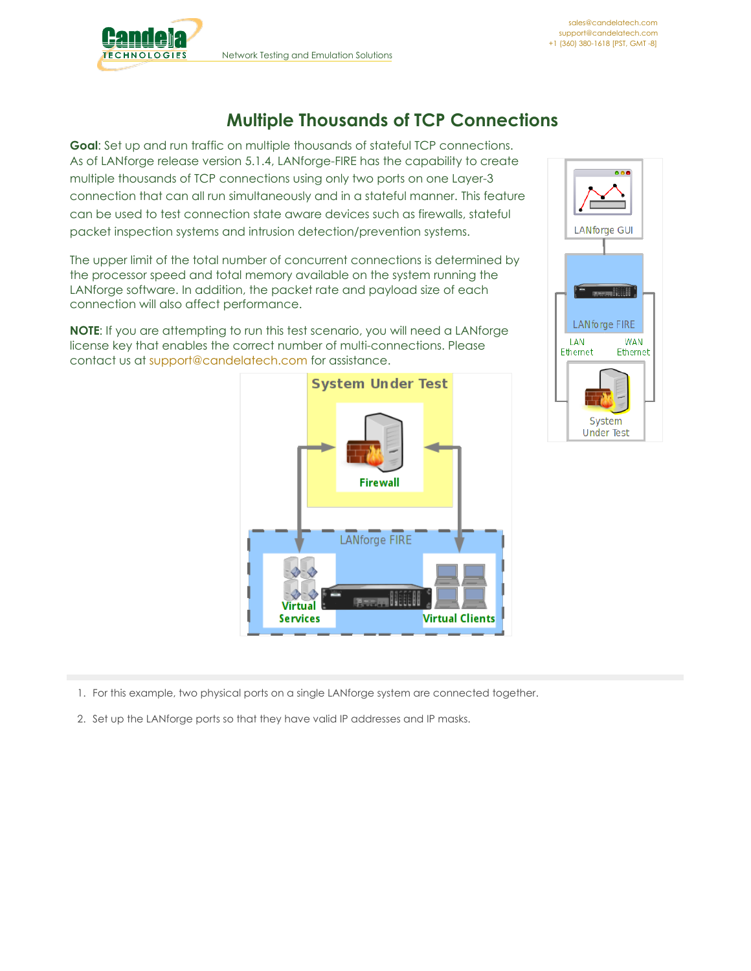

## **Multiple Thousands of TCP Connections**

**Goal**: Set up and run traffic on multiple thousands of stateful TCP connections. As of LANforge release version 5.1.4, LANforge-FIRE has the capability to create multiple thousands of TCP connections using only two ports on one Layer-3 connection that can all run simultaneously and in a stateful manner. This feature can be used to test connection state aware devices such as firewalls, stateful packet inspection systems and intrusion detection/prevention systems.

The upper limit of the total number of concurrent connections is determined by the processor speed and total memory available on the system running the LANforge software. In addition, the packet rate and payload size of each connection will also affect performance.

**NOTE**: If you are attempting to run this test scenario, you will need a LANforge license key that enables the correct number of multi-connections. Please contact us at [support@candelatech.com](mailto:support@candelatech.com) for assistance.





1. For this example, two physical ports on a single LANforge system are connected together.

2. Set up the LANforge ports so that they have valid IP addresses and IP masks.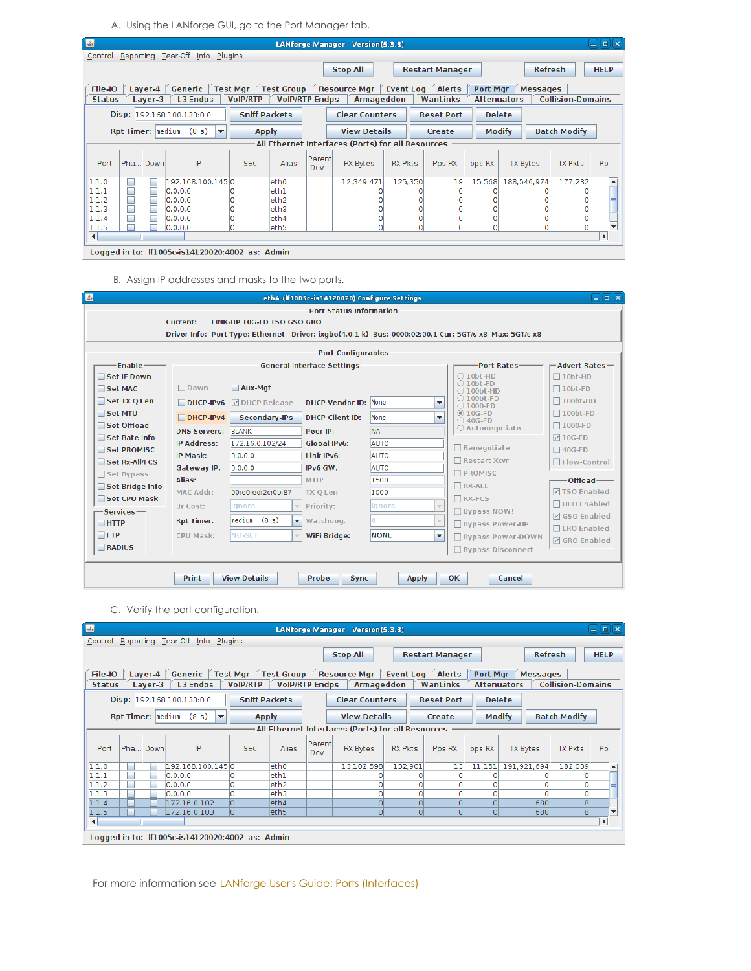A. Using the LANforge GUI, go to the Port Manager tab.

| $\left  \frac{d}{2} \right $ |                                                                                                                                                  |                    |                                                 |                                    |                                            |               | LANforge Manager Version(5.3.3)                    |                  |                        |          |                                       |                          | $\Box$ e $\bm{\kappa}$   |
|------------------------------|--------------------------------------------------------------------------------------------------------------------------------------------------|--------------------|-------------------------------------------------|------------------------------------|--------------------------------------------|---------------|----------------------------------------------------|------------------|------------------------|----------|---------------------------------------|--------------------------|--------------------------|
| Control                      |                                                                                                                                                  |                    | Reporting Tear-Off Info                         | Plugins                            |                                            |               |                                                    |                  |                        |          |                                       |                          |                          |
|                              |                                                                                                                                                  |                    |                                                 |                                    |                                            |               | <b>Stop All</b>                                    |                  | <b>Restart Manager</b> |          | <b>Refresh</b>                        |                          | <b>HELP</b>              |
| File-IO                      |                                                                                                                                                  |                    | Generic                                         |                                    |                                            |               |                                                    |                  | <b>Alerts</b>          |          |                                       |                          |                          |
| <b>Status</b>                |                                                                                                                                                  | Layer-4<br>Laver-3 | <b>L3 Endps</b>                                 | <b>Test Mgr</b><br><b>VoIP/RTP</b> | <b>Test Group</b><br><b>VolP/RTP Endps</b> |               | <b>Resource Mgr</b><br>Armageddon                  | <b>Event Log</b> | WanLinks               | Port Mgr | <b>Messages</b><br><b>Attenuators</b> | <b>Collision-Domains</b> |                          |
|                              |                                                                                                                                                  |                    |                                                 |                                    |                                            |               |                                                    |                  |                        |          |                                       |                          |                          |
|                              | Disp: 192.168.100.133:0.0<br><b>Sniff Packets</b><br><b>Clear Counters</b><br><b>Delete</b><br><b>Reset Port</b>                                 |                    |                                                 |                                    |                                            |               |                                                    |                  |                        |          |                                       |                          |                          |
|                              | Rpt Timer:  medium<br><b>Modify</b><br><b>Batch Modify</b><br><b>View Details</b><br>(8 s)<br><b>Apply</b><br>Create<br>$\overline{\phantom{a}}$ |                    |                                                 |                                    |                                            |               |                                                    |                  |                        |          |                                       |                          |                          |
|                              |                                                                                                                                                  |                    |                                                 |                                    |                                            |               | All Ethernet Interfaces (Ports) for all Resources. |                  |                        |          |                                       |                          |                          |
| Port                         | Pha                                                                                                                                              | Down               | IP                                              | <b>SEC</b>                         | <b>Alias</b>                               | Parent<br>Dev | <b>RX Bytes</b>                                    | <b>RX Pkts</b>   | Pps RX                 | bps RX   | <b>TX Bytes</b>                       | <b>TX Pkts</b>           | Pp                       |
| 1.1.0                        |                                                                                                                                                  |                    | 192.168.100.1450                                |                                    | eth <sub>0</sub>                           |               | 12,349,471                                         | 125,350          | 19                     | 15.568   | 188,546,974                           | 177.232                  | ▲                        |
| 1.1.1                        |                                                                                                                                                  |                    | 0.0.0.0                                         |                                    | ethl                                       |               |                                                    |                  | $\circ$                |          |                                       |                          |                          |
| 1.1.2                        |                                                                                                                                                  |                    | 0.0.0.0                                         | lo                                 | eth <sub>2</sub>                           |               | 0                                                  | 0                | $\mathsf{o}$           |          |                                       |                          |                          |
| 1.1.3                        |                                                                                                                                                  |                    | 0.0.0.0                                         | ١O                                 | eth3                                       |               | $\Omega$                                           | 0                | ol                     |          | o                                     | 0                        |                          |
| 1.1.4                        |                                                                                                                                                  |                    | 0.0.0.0                                         | ١o                                 | eth4                                       |               | 0                                                  | 0                | $\overline{0}$         |          | o۱                                    | O                        |                          |
| 1.1.5                        |                                                                                                                                                  |                    | 0.0.0.0                                         | ١o                                 | eth <sub>5</sub>                           |               | $\Omega$                                           | 0                | ٥l                     | $\Omega$ | ٥I                                    | $\Omega$                 | $\overline{\phantom{a}}$ |
| $\left  \right $             | Ш                                                                                                                                                |                    |                                                 |                                    |                                            |               |                                                    |                  |                        |          |                                       |                          | $\mathbf{r}$             |
|                              |                                                                                                                                                  |                    | Logged in to: If1005c-is14120020:4002 as: Admin |                                    |                                            |               |                                                    |                  |                        |          |                                       |                          |                          |

B. Assign IP addresses and masks to the two ports.

| $\left  \frac{d}{dx} \right $ |                           |                                             | eth4 (If1005c-is14120020) Configure Settings |              |                          |                                                                                                       | 口回风                  |
|-------------------------------|---------------------------|---------------------------------------------|----------------------------------------------|--------------|--------------------------|-------------------------------------------------------------------------------------------------------|----------------------|
|                               |                           |                                             | <b>Port Status Information</b>               |              |                          |                                                                                                       |                      |
|                               | Current:                  | LINK-UP 10G-ED TSO GSO GRO                  |                                              |              |                          |                                                                                                       |                      |
|                               |                           |                                             |                                              |              |                          | Driver Info: Port Type: Ethernet Driver: ixqbe(4.0.1-k) Bus: 0000:02:00.1 Cur: 5GT/s x8 Max: 5GT/s x8 |                      |
|                               |                           |                                             | <b>Port Configurables</b>                    |              |                          |                                                                                                       |                      |
| Enable-                       |                           |                                             | <b>General Interface Settings</b>            |              |                          | <b>Port Rates-</b>                                                                                    | -Advert Rates-       |
| Set IF Down                   |                           |                                             |                                              |              |                          | $\bigcirc$ 10bt-HD                                                                                    | $\Box$ 10bt-HD       |
| Set MAC                       | $\Box$ Down               | Aux-Mqt                                     |                                              |              |                          | $\bigcirc$ 10bt-FD<br>$\bigcirc$ 100bt-HD                                                             | $\Box$ 10bt-FD       |
| Set TX O Len                  | $DHCP-IPv6$               | <b>M</b> DHCP Release                       | <b>DHCP Vendor ID: None</b>                  |              | $\overline{\phantom{a}}$ | $\bigcirc$ 100bt-FD<br>$\bigcirc$ 1000-FD                                                             | $\Box$ 100bt-HD      |
| Set MTU                       | $DHCP-IPv4$               | <b>Secondary-IPs</b>                        | <b>DHCP Client ID:</b>                       | None         | $\overline{\phantom{a}}$ | $@$ 10G-FD<br>$\bigcirc$ 40G-FD                                                                       | $\Box$ 100bt-FD      |
| Set Offload                   | <b>DNS Servers: BLANK</b> |                                             | Peer IP:                                     | <b>NA</b>    |                          | ○ Autonegotiate                                                                                       | $\Box$ 1000-FD       |
| Set Rate Info                 | <b>IP Address:</b>        | 172.16.0.102/24                             | <b>Global IPv6:</b>                          | AUTO         |                          |                                                                                                       | $\nabla$ 10G-FD      |
| Set PROMISC                   | <b>IP Mask:</b>           | 0.0.0.0                                     | Link IPv6:                                   | AUTO         |                          | Renegotiate                                                                                           | $\Box$ 40G-FD        |
| Set Rx-All/FCS                | Gateway IP:               | 0.0.0.0                                     | IPv6 GW:                                     | <b>AUTO</b>  |                          | Restart Xcvr                                                                                          | □ Flow-Control       |
| Set Bypass                    | Alias:                    |                                             | MTU:                                         | 1500         |                          | <b>PROMISC</b>                                                                                        | Offload-             |
| Set Bridge Info               | <b>MAC Addr:</b>          | 00:e0:ed:2c:0b:87                           | <b>TX O Len</b>                              | 1000         |                          | $\Box$ RX-ALL                                                                                         | <b>DISO Enabled</b>  |
| Set CPU Mask                  | Br Cost:                  | lgnore<br>$\overline{\mathbf{v}}$           | Priority:                                    | lignore      | $\overline{\phantom{a}}$ | $\Box$ RX-FCS                                                                                         | □ UFO Enabled        |
| -Services-                    | <b>Rpt Timer:</b>         | (8 s)<br>medium<br>$\overline{\phantom{a}}$ | Watchdog:                                    | lO.          | $\overline{\mathbf{v}}$  | $\Box$ Bypass NOW!                                                                                    | $\nabla$ GSO Enabled |
| $\Box$ HTTP                   |                           |                                             |                                              |              |                          | <b>Bypass Power-UP</b>                                                                                | □LRO Enabled         |
| $\Box$ FTP                    | <b>CPU Mask:</b>          | <b>NO-SET</b><br>÷                          | <b>WiFi Bridge:</b>                          | <b>NONE</b>  | $\overline{\phantom{a}}$ | <b>Bypass Power-DOWN</b>                                                                              | <b>☑ GRO Enabled</b> |
| RADIUS                        |                           |                                             |                                              |              |                          | □ Bypass Disconnect                                                                                   |                      |
|                               |                           |                                             |                                              |              |                          |                                                                                                       |                      |
|                               | <b>Print</b>              | <b>View Details</b>                         | Probe<br><b>Sync</b>                         | <b>Apply</b> |                          | OK.<br>Cancel                                                                                         |                      |
|                               |                           |                                             |                                              |              |                          |                                                                                                       |                      |

C. Verify the port configuration.

| $\vert \underline{\mathfrak{s}} \vert$ |                          |         |                           |                                                 |                 |              |                       |                | LANforge Manager Version(5.3.3)                    |                  |          |                        |          |                    |                 |                          | $\Box$ $\Box$ $\Box$     |
|----------------------------------------|--------------------------|---------|---------------------------|-------------------------------------------------|-----------------|--------------|-----------------------|----------------|----------------------------------------------------|------------------|----------|------------------------|----------|--------------------|-----------------|--------------------------|--------------------------|
|                                        |                          |         |                           | Control Reporting Tear-Off Info Plugins         |                 |              |                       |                |                                                    |                  |          |                        |          |                    |                 |                          |                          |
|                                        |                          |         |                           |                                                 |                 |              |                       |                | <b>Stop All</b>                                    |                  |          | <b>Restart Manager</b> |          |                    | <b>Refresh</b>  |                          | <b>HELP</b>              |
|                                        |                          |         |                           |                                                 |                 |              |                       |                |                                                    |                  |          |                        |          |                    |                 |                          |                          |
| File-IO                                |                          | Layer-4 | Generic                   |                                                 | <b>Test Mgr</b> |              | <b>Test Group</b>     |                | <b>Resource Mgr</b>                                | <b>Event Log</b> |          | <b>Alerts</b>          | Port Mgr |                    | <b>Messages</b> |                          |                          |
| <b>Status</b>                          |                          | Layer-3 |                           | <b>L3 Endps</b>                                 | <b>VoIP/RTP</b> |              | <b>VoIP/RTP Endps</b> |                | Armageddon                                         |                  |          | WanLinks               |          | <b>Attenuators</b> |                 | <b>Collision-Domains</b> |                          |
|                                        |                          |         | Disp: 192.168.100.133:0.0 |                                                 |                 |              | <b>Sniff Packets</b>  |                | <b>Clear Counters</b>                              |                  |          | <b>Reset Port</b>      |          | <b>Delete</b>      |                 |                          |                          |
|                                        | <b>Rpt Timer: medium</b> |         |                           | (8 s)<br>▼                                      |                 | <b>Apply</b> |                       |                | <b>View Details</b>                                |                  |          | Create                 |          | <b>Modify</b>      |                 | <b>Batch Modify</b>      |                          |
|                                        |                          |         |                           |                                                 |                 |              |                       |                | All Ethernet Interfaces (Ports) for all Resources. |                  |          |                        |          |                    |                 |                          |                          |
| Port                                   | Pha                      | Down    |                           | IP                                              | <b>SEC</b>      |              | <b>Alias</b>          | Parentl<br>Dev | <b>RX Bytes</b>                                    | <b>RX Pkts</b>   |          | Pps RX                 | bps RX   | <b>TX Bytes</b>    |                 | <b>TX Pkts</b>           | Pp                       |
| 1.1.0                                  |                          |         |                           | 192.168.100.1450                                |                 |              | eth <sub>0</sub>      |                | 13,102,598                                         | 132,901          |          | 13                     | 11,151   | 191,921,694        |                 | 182,089                  | ▲                        |
| 1.1.1                                  |                          |         | 0.0.0.0                   |                                                 |                 |              | eth1                  |                |                                                    |                  | Ω        | 0                      |          |                    |                 |                          |                          |
| 1.1.2                                  |                          |         | 0.0.0.0                   |                                                 |                 |              | eth <sub>2</sub>      |                |                                                    |                  | 0        | 0                      |          |                    |                 |                          |                          |
| 1.1.3                                  |                          |         | 0.0.0.0                   |                                                 | 0               |              | eth3                  |                |                                                    |                  | 0        | 0                      |          |                    |                 | O                        |                          |
| 1.1.4                                  |                          |         |                           | 172.16.0.102                                    | lo.             |              | eth4                  |                | 0                                                  |                  | $\Omega$ | $\overline{0}$         | $\Omega$ |                    | 680             | 8 <sup>1</sup>           |                          |
| 1.1.5                                  |                          |         |                           | 172.16.0.103                                    | ١o              |              | eth5                  |                | $\overline{0}$                                     |                  | $\Omega$ | $\overline{0}$         | $\Omega$ |                    | 680             | $\lvert 8 \rvert$        | $\overline{\phantom{a}}$ |
| $\blacksquare$                         |                          |         |                           |                                                 |                 |              |                       |                |                                                    |                  |          |                        |          |                    |                 |                          |                          |
|                                        |                          |         |                           | Logged in to: If1005c-is14120020:4002 as: Admin |                 |              |                       |                |                                                    |                  |          |                        |          |                    |                 |                          |                          |

For more information see LANforge User's Guide: Ports [\(Interfaces\)](http://www.candelatech.com/lfgui_ug.php#port)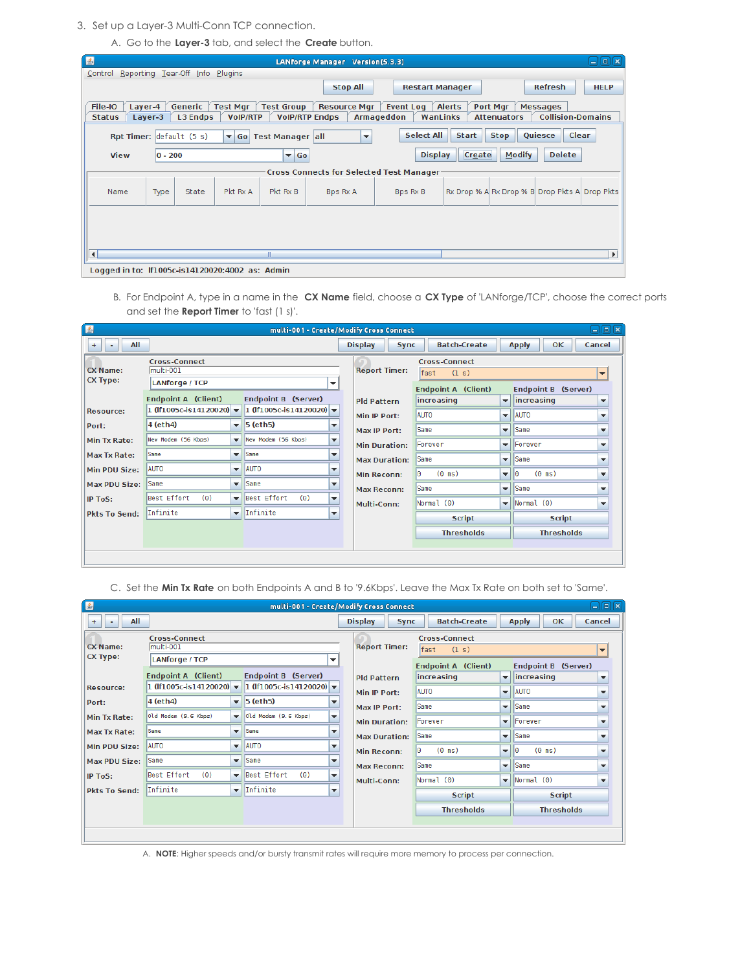3. Set up a Layer-3 Multi-Conn TCP connection.

A. Go to the **Layer-3** tab, and select the **Create** button.

| $\mathbf{E}$                                    |                               |                 |                                    |                                            | LANforge Manager Version(5.3.3)                 |                                     |                                               |                                |                                             | $ \blacksquare$ $\blacksquare$ |
|-------------------------------------------------|-------------------------------|-----------------|------------------------------------|--------------------------------------------|-------------------------------------------------|-------------------------------------|-----------------------------------------------|--------------------------------|---------------------------------------------|--------------------------------|
| Control Reporting Tear-Off Info Plugins         |                               |                 |                                    |                                            |                                                 |                                     |                                               |                                |                                             |                                |
|                                                 |                               |                 |                                    |                                            | <b>Stop All</b>                                 | <b>Restart Manager</b>              |                                               |                                | <b>Refresh</b>                              | <b>HELP</b>                    |
| File-IO<br><b>Status</b>                        | Generic<br>Layer-4<br>Layer-3 | <b>L3 Endps</b> | <b>Test Mgr</b><br><b>VoIP/RTP</b> | <b>Test Group</b><br><b>VolP/RTP Endps</b> | <b>Resource Mgr</b>                             | Event Log<br>Armageddon<br>WanLinks | <b>Alerts</b>                                 | Port Mgr<br><b>Attenuators</b> | <b>Messages</b><br><b>Collision-Domains</b> |                                |
|                                                 | Rpt Timer: default (5 s)      |                 |                                    | ▼ Go Test Manager all                      | $\overline{\phantom{a}}$                        | <b>Select All</b>                   | <b>Start</b>                                  | <b>Stop</b>                    | <b>Quiesce</b>                              | Clear                          |
| <b>View</b>                                     | $ 0 - 200$                    |                 |                                    | $\blacktriangledown$ Go                    |                                                 | <b>Display</b>                      | Create                                        | <b>Modify</b>                  | <b>Delete</b>                               |                                |
|                                                 |                               |                 |                                    |                                            | <b>Cross Connects for Selected Test Manager</b> |                                     |                                               |                                |                                             |                                |
| Name                                            | Type                          | State           | Pkt Rx A                           | Pkt Rx B                                   | <b>Bps Rx A</b>                                 | Bps Rx B                            | Rx Drop % A Rx Drop % B Drop Pkts A Drop Pkts |                                |                                             |                                |
|                                                 |                               |                 |                                    |                                            |                                                 |                                     |                                               |                                |                                             |                                |
|                                                 |                               |                 |                                    |                                            |                                                 |                                     |                                               |                                |                                             |                                |
| $\blacktriangleleft$                            |                               |                 |                                    | Ш                                          |                                                 |                                     |                                               |                                |                                             | $\blacktriangleright$          |
| Logged in to: If1005c-is14120020:4002 as: Admin |                               |                 |                                    |                                            |                                                 |                                     |                                               |                                |                                             |                                |

B. For Endpoint A, type in a name in the **CX Name** field, choose a **CX Type** of 'LANforge/TCP', choose the correct ports and set the **Report Timer** to 'fast (1 s)'.

| E                                     |                                                                                          |                          |                                                      |                          | multi-001 - Create/Modify Cross Connect    |                                                                                   |                                          |                                                             | 日间図                                                  |
|---------------------------------------|------------------------------------------------------------------------------------------|--------------------------|------------------------------------------------------|--------------------------|--------------------------------------------|-----------------------------------------------------------------------------------|------------------------------------------|-------------------------------------------------------------|------------------------------------------------------|
| All<br>$+$<br>۰                       |                                                                                          |                          |                                                      |                          | <b>Display</b><br><b>Sync</b>              | <b>Batch-Create</b>                                                               |                                          | <b>Apply</b><br><b>OK</b>                                   | Cancel                                               |
| <b>CX Name:</b><br><b>CX Type:</b>    | <b>Cross-Connect</b><br>multi-001<br><b>LANforge / TCP</b><br><b>Endpoint A (Client)</b> |                          | Endpoint B (Server)                                  | ▼                        | <b>Report Timer:</b><br><b>Pld Pattern</b> | <b>Cross-Connect</b><br>fast<br>(1 s)<br><b>Endpoint A (Client)</b><br>increasing | $\blacktriangledown$                     | Endpoint B (Server)<br>lincreasing                          | $\overline{\phantom{a}}$<br>$\overline{\phantom{a}}$ |
| <b>Resource:</b>                      | 1 (If1005c-is14120020) $\blacktriangledown$                                              |                          | 1 (If1005c-is14120020) $\rightarrow$                 |                          | Min IP Port:                               | <b>AUTO</b>                                                                       |                                          | $\blacktriangleright$   AUTO                                | ▼                                                    |
| Port:<br>Min Tx Rate:                 | 4 (eth4)<br>New Modem (56 Kbps)                                                          | $\mathbf{v}$             | $\blacktriangledown$ 5 (eth5)<br>New Modem (56 Kbps) | ▼<br>▼                   | Max IP Port:<br><b>Min Duration:</b>       | Same<br>Forever                                                                   |                                          | $\blacktriangleright$ Same<br>$\blacktriangleright$ Forever | $\overline{\phantom{a}}$<br>$\overline{\phantom{a}}$ |
| Max Tx Rate:                          | Same                                                                                     | $\overline{\phantom{a}}$ | Same                                                 | ▼                        | <b>Max Duration:</b>                       | Same                                                                              |                                          | $\blacktriangleright$ Same                                  | $\overline{\phantom{a}}$                             |
| Min PDU Size:<br><b>Max PDU Size:</b> | <b>AUTO</b><br>Same                                                                      | ▼                        | $\overline{\phantom{a}}$ <b>AUTO</b><br>Same         | ▼<br>▼                   | <b>Min Reconn:</b><br><b>Max Reconn:</b>   | $(0 \text{ ms})$<br>۱Θ<br>Same                                                    | $\overline{\phantom{a}}$<br>$\mathbf{v}$ | $(0 \text{ ms})$<br>10<br>Same                              | ▼<br>$\overline{\phantom{a}}$                        |
| <b>IP ToS:</b>                        | Best Effort<br>(0)                                                                       | ▾                        | Best Effort<br>(0)                                   | $\overline{\phantom{a}}$ | Multi-Conn:                                | Normal (0)                                                                        | $\overline{\mathbf{v}}$                  | Normal(0)                                                   | ▼                                                    |
| <b>Pkts To Send:</b>                  | Infinite                                                                                 | ▼                        | Infinite                                             | ▼                        |                                            | <b>Script</b>                                                                     |                                          | <b>Script</b>                                               |                                                      |
|                                       |                                                                                          |                          |                                                      |                          |                                            | <b>Thresholds</b>                                                                 |                                          | <b>Thresholds</b>                                           |                                                      |
|                                       |                                                                                          |                          |                                                      |                          |                                            |                                                                                   |                                          |                                                             |                                                      |

C. Set the **Min Tx Rate** on both Endpoints A and B to '9.6Kbps'. Leave the Max Tx Rate on both set to 'Same'.

| $\left  \frac{a}{2} \right $       |                                                            |                          |                                             |                          | multi-001 - Create/Modify Cross Connect |             |                                                             |                          |                                      | $\Box$ e $\bm{\kappa}$   |
|------------------------------------|------------------------------------------------------------|--------------------------|---------------------------------------------|--------------------------|-----------------------------------------|-------------|-------------------------------------------------------------|--------------------------|--------------------------------------|--------------------------|
| All<br>$+$<br>٠                    |                                                            |                          |                                             |                          | <b>Display</b><br><b>Sync</b>           |             | <b>Batch-Create</b>                                         |                          | <b>Apply</b><br><b>OK</b>            | Cancel                   |
| <b>CX Name:</b><br><b>CX Type:</b> | <b>Cross-Connect</b><br>multi-001<br><b>LANforge / TCP</b> |                          |                                             | ▼                        | <b>Report Timer:</b>                    | fast        | <b>Cross-Connect</b><br>(1 s)<br><b>Endpoint A (Client)</b> |                          | Endpoint B (Server)                  | $\overline{\phantom{a}}$ |
|                                    | Endpoint A (Client)                                        |                          | Endpoint B (Server)                         |                          | <b>Pld Pattern</b>                      | increasing  |                                                             |                          | $\blacktriangleright$ increasing     | ▼                        |
| <b>Resource:</b>                   | 1 (If1005c-is14120020) $\rightarrow$                       |                          | 1 (If1005c-is14120020) $\blacktriangledown$ |                          | Min IP Port:                            | <b>AUTO</b> |                                                             |                          | $\overline{\phantom{a}}$ <b>AUTO</b> | $\overline{\phantom{a}}$ |
| Port:                              | 4 (eth4)                                                   |                          | $\blacktriangledown$ 5 (eth 5)              | $\overline{\phantom{a}}$ | Max IP Port:                            | Same        |                                                             |                          | $\blacktriangleright$ Same           | $\overline{\phantom{a}}$ |
| Min Tx Rate:                       | Old Modem (9.6 Kbps)                                       | $\overline{\phantom{a}}$ | Old Modem (9.6 Kbps)                        | ▼                        | <b>Min Duration:</b>                    | Forever     |                                                             |                          | $\blacktriangleright$ Forever        | $\overline{\phantom{a}}$ |
| Max Tx Rate:                       | Same                                                       | $\overline{\phantom{a}}$ | <b>Same</b>                                 | ▼                        | <b>Max Duration:</b>                    | Same        |                                                             |                          | $\blacktriangleright$ Same           | $\overline{\phantom{a}}$ |
| Min PDU Size:                      | <b>AUTO</b>                                                | $\overline{\phantom{a}}$ | <b>AUTO</b>                                 | $\overline{\phantom{a}}$ | <b>Min Reconn:</b>                      | 10          | $(0 \text{ ms})$                                            | $\overline{\phantom{a}}$ | $(0 \text{ ms})$<br>10               | ▼                        |
| <b>Max PDU Size:</b>               | Same                                                       | ▾                        | Same                                        | ▼                        | <b>Max Reconn:</b>                      | Same        |                                                             |                          | $\blacktriangleright$ Same           | $\overline{\phantom{a}}$ |
| IP ToS:                            | Best Effort<br>(0)                                         |                          | Best Effort<br>(0)                          | $\overline{\phantom{a}}$ | Multi-Conn:                             | Normal (0)  |                                                             |                          | $\blacktriangledown$ Normal (0)      | $\overline{\mathbf{v}}$  |
| <b>Pkts To Send:</b>               | Infinite                                                   | $\overline{\phantom{a}}$ | Infinite                                    | ▼                        |                                         |             | <b>Script</b>                                               |                          | <b>Script</b>                        |                          |
|                                    |                                                            |                          |                                             |                          |                                         |             | <b>Thresholds</b>                                           |                          | <b>Thresholds</b>                    |                          |
|                                    |                                                            |                          |                                             |                          |                                         |             |                                                             |                          |                                      |                          |
|                                    |                                                            |                          |                                             |                          |                                         |             |                                                             |                          |                                      |                          |

A. **NOTE**: Higher speeds and/or bursty transmit rates will require more memory to process per connection.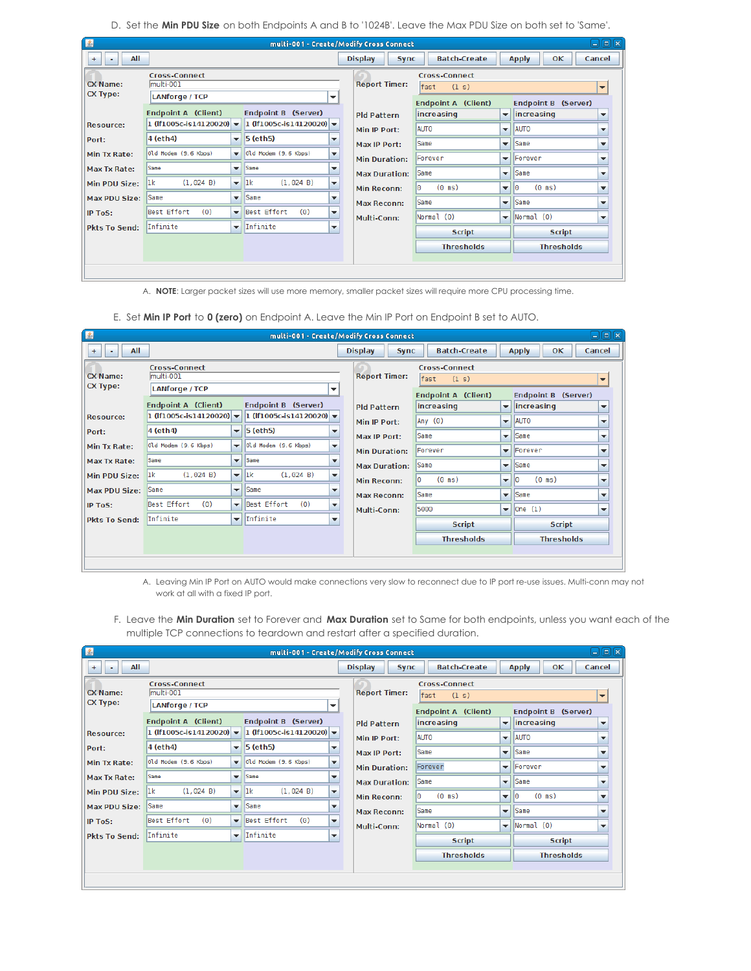D. Set the **Min PDU Size** on both Endpoints A and B to '1024B'. Leave the Max PDU Size on both set to 'Same'.

| $\mathbf{E}$                       |                                                                    |                                                      |                                                                    |                                                      | multi-001 - Create/Modify Cross Connect  |                                       |                                                           |                                                 | $\Box$ e $\bm{\kappa}$                               |
|------------------------------------|--------------------------------------------------------------------|------------------------------------------------------|--------------------------------------------------------------------|------------------------------------------------------|------------------------------------------|---------------------------------------|-----------------------------------------------------------|-------------------------------------------------|------------------------------------------------------|
| All<br>$+$<br>۰                    |                                                                    |                                                      |                                                                    |                                                      | <b>Display</b><br><b>Sync</b>            | <b>Batch-Create</b>                   |                                                           | OK<br><b>Apply</b>                              | Cancel                                               |
| <b>CX Name:</b><br><b>CX Type:</b> | <b>Cross-Connect</b><br>lmulti-001<br><b>LANforge / TCP</b>        |                                                      |                                                                    | ▼                                                    | <b>Report Timer:</b>                     | <b>Cross-Connect</b><br>fast<br>(1 s) |                                                           |                                                 | $\overline{\phantom{a}}$                             |
|                                    | <b>Endpoint A (Client)</b><br>1 (If1005c-is14120020) $\rightarrow$ |                                                      | Endpoint B (Server)<br>1 (If1005c-is14120020) $\blacktriangledown$ |                                                      | <b>Pld Pattern</b>                       | Endpoint A (Client)<br>increasing     | $\overline{\phantom{a}}$                                  | <b>Endpoint B (Server)</b><br><i>increasing</i> | ▼                                                    |
| <b>Resource:</b><br>Port:          | 4 (eth4)                                                           | $\overline{\phantom{a}}$                             | $5$ (eth $5$ )                                                     | ▼                                                    | Min IP Port:<br>Max IP Port:             | <b>AUTO</b><br>Same                   | $\overline{\phantom{a}}$                                  | <b>AUTO</b><br>$\blacktriangleright$ Same       | ▼<br>▼                                               |
| Min Tx Rate:                       | Old Modem (9.6 Kbps)                                               | $\overline{\phantom{a}}$                             | Old Modem (9.6 Kbps)                                               | $\overline{\phantom{a}}$                             | <b>Min Duration:</b>                     | Forever                               |                                                           | $\blacktriangleright$ Forever                   | $\overline{\phantom{a}}$                             |
| Max Tx Rate:<br>Min PDU Size:      | Same<br>(1,024 B)<br>1k                                            | $\overline{\phantom{0}}$<br>$\mathbf{v}$             | <b>Same</b><br> 1k <br>(1,024 B)                                   | $\overline{\phantom{a}}$<br>$\overline{\phantom{a}}$ | <b>Max Duration:</b>                     | Same                                  |                                                           | $\blacktriangleright$ Same                      | $\overline{\phantom{a}}$                             |
| <b>Max PDU Size:</b>               | Same                                                               | $\overline{\phantom{a}}$                             | Same                                                               | $\overline{\phantom{a}}$                             | <b>Min Reconn:</b><br><b>Max Reconn:</b> | $(0 \text{ ms})$<br>lΘ<br>Same        | $\overline{\phantom{a}}$<br>$\blacktriangledown$ $\vdash$ | $(0 \text{ ms})$<br>lΘ<br>Same                  | $\overline{\phantom{a}}$<br>$\overline{\phantom{a}}$ |
| <b>IP ToS:</b>                     | Best Effort<br>(0)<br>Infinite                                     | $\overline{\phantom{a}}$<br>$\overline{\phantom{a}}$ | Best Effort<br>(0)<br>Infinite                                     | $\overline{\phantom{a}}$<br>$\overline{\phantom{a}}$ | Multi-Conn:                              | Normal (0)                            |                                                           | $\blacktriangledown$ Normal (0)                 | ▼                                                    |
| <b>Pkts To Send:</b>               |                                                                    |                                                      |                                                                    |                                                      |                                          | <b>Script</b>                         |                                                           | <b>Script</b>                                   |                                                      |
|                                    |                                                                    |                                                      |                                                                    |                                                      |                                          | <b>Thresholds</b>                     |                                                           | <b>Thresholds</b>                               |                                                      |

A. **NOTE**: Larger packet sizes will use more memory, smaller packet sizes will require more CPU processing time.

E. Set **Min IP Port** to **0 (zero)** on Endpoint A. Leave the Min IP Port on Endpoint B set to AUTO.

| E                                  |                                                                                   |                          |                                             |                          | multi-001 - Create/Modify Cross Connect    |                                                                                      |                          | anx                                                                                                  |
|------------------------------------|-----------------------------------------------------------------------------------|--------------------------|---------------------------------------------|--------------------------|--------------------------------------------|--------------------------------------------------------------------------------------|--------------------------|------------------------------------------------------------------------------------------------------|
| All<br>$+$<br>۰                    |                                                                                   |                          |                                             |                          | <b>Display</b><br><b>Sync</b>              | <b>Batch-Create</b>                                                                  |                          | <b>OK</b><br>Cancel<br><b>Apply</b>                                                                  |
| <b>CX Name:</b><br><b>CX Type:</b> | <b>Cross-Connect</b><br>multi-001<br><b>LANforge / TCP</b><br>Endpoint A (Client) |                          | Endpoint B (Server)                         | ▼                        | <b>Report Timer:</b><br><b>Pld Pattern</b> | <b>Cross-Connect</b><br>fast<br>(1 s)<br><b>Endpoint A</b><br>(Client)<br>increasing | $\overline{\mathbf{v}}$  | $\overline{\phantom{a}}$<br><b>Endpoint B</b><br>(Server)<br>lincreasing<br>$\overline{\phantom{a}}$ |
| <b>Resource:</b>                   | 1 (If1005c-is14120020) $\blacktriangledown$                                       |                          | 1 (If1005c-is14120020) $\blacktriangledown$ |                          | Min IP Port:                               | Any (0)                                                                              | $\overline{\phantom{0}}$ | <b>AUTO</b><br>$\overline{\phantom{a}}$                                                              |
| Port:                              | 4 (eth4)                                                                          |                          | $\blacktriangledown$ 5 (eth5)               | ▼                        | Max IP Port:                               | Same                                                                                 | $\overline{\phantom{a}}$ | Same<br>$\overline{\phantom{0}}$                                                                     |
| Min Tx Rate:                       | Old Modem (9.6 Kbps)                                                              | $\overline{\phantom{a}}$ | Old Modem (9.6 Kbps)                        | $\overline{\phantom{a}}$ |                                            | Forever                                                                              |                          | $\blacktriangleright$   Forever<br>$\overline{\phantom{a}}$                                          |
| <b>Max Tx Rate:</b>                | Same                                                                              | $\overline{\phantom{a}}$ | <b>Same</b>                                 | ▼                        | <b>Min Duration:</b>                       |                                                                                      |                          |                                                                                                      |
| Min PDU Size:                      | (1,024 B)<br>lık                                                                  | $\mathbf{v}$             | 1k <br>(1, 024 B)                           | $\overline{\phantom{a}}$ | <b>Max Duration:</b>                       | Same                                                                                 | $\overline{\phantom{a}}$ | <b>Same</b><br>$\overline{\phantom{a}}$                                                              |
| <b>Max PDU Size:</b>               | Same                                                                              | $\overline{\phantom{a}}$ | <b>Same</b>                                 | ▼                        | <b>Min Reconn:</b>                         | $(0 \text{ ms})$<br>۱O                                                               | $\overline{\mathbf{v}}$  | l0<br>$(0 \text{ ms})$<br>$\overline{\phantom{a}}$                                                   |
| IP ToS:                            | Best Effort<br>(0)                                                                | $\overline{\phantom{a}}$ | Best Effort<br>(0)                          | $\overline{\phantom{a}}$ | <b>Max Reconn:</b>                         | Same                                                                                 | $\overline{\phantom{a}}$ | Same<br>$\overline{\phantom{a}}$                                                                     |
|                                    | Infinite                                                                          |                          | $\overline{\phantom{a}}$ Infinite           |                          | Multi-Conn:                                | 5000                                                                                 | $\overline{\phantom{a}}$ | One(1) <br>$\overline{\phantom{a}}$                                                                  |
| <b>Pkts To Send:</b>               |                                                                                   |                          |                                             | $\overline{\phantom{a}}$ |                                            | <b>Script</b>                                                                        |                          | <b>Script</b>                                                                                        |
|                                    |                                                                                   |                          |                                             |                          |                                            | <b>Thresholds</b>                                                                    |                          | <b>Thresholds</b>                                                                                    |
|                                    |                                                                                   |                          |                                             |                          |                                            |                                                                                      |                          |                                                                                                      |
|                                    |                                                                                   |                          |                                             |                          |                                            |                                                                                      |                          |                                                                                                      |

A. Leaving Min IP Port on AUTO would make connections very slow to reconnect due to IP port re-use issues. Multi-conn may not work at all with a fixed IP port.

F. Leave the **Min Duration** set to Forever and **Max Duration** set to Same for both endpoints, unless you want each of the multiple TCP connections to teardown and restart after a specified duration.

| 图                    |                                             |                          | multi-001 - Create/Modify Cross Connect          |                               |                            |                          | ا د                       | 回风                       |
|----------------------|---------------------------------------------|--------------------------|--------------------------------------------------|-------------------------------|----------------------------|--------------------------|---------------------------|--------------------------|
| All<br>$+$<br>۰      |                                             |                          |                                                  | <b>Display</b><br><b>Sync</b> | <b>Batch-Create</b>        |                          | <b>OK</b><br><b>Apply</b> | Cancel                   |
|                      | <b>Cross-Connect</b>                        |                          |                                                  |                               | <b>Cross-Connect</b>       |                          |                           |                          |
| <b>CX Name:</b>      | multi-001                                   |                          |                                                  | <b>Report Timer:</b>          | (1 s)<br>fast              |                          |                           | $\overline{\phantom{a}}$ |
| <b>CX Type:</b>      | <b>LANforge / TCP</b>                       |                          | $\overline{\phantom{a}}$                         |                               | <b>Endpoint A (Client)</b> |                          | Endpoint B (Server)       |                          |
|                      | <b>Endpoint A (Client)</b>                  |                          | Endpoint B (Server)                              | <b>Pld Pattern</b>            | increasing                 | $\overline{\phantom{a}}$ | increasing                | $\overline{\phantom{a}}$ |
| <b>Resource:</b>     | 1 (If1005c-is14120020) $\blacktriangledown$ |                          | 1 (If1005c-is14120020) $\blacktriangledown$      | Min IP Port:                  | <b>AUTO</b>                | $\overline{\phantom{a}}$ | <b>AUTO</b>               | $\overline{\phantom{a}}$ |
| Port:                | 4 (eth4)                                    | ▼                        | $5$ (eth $5$ )<br>$\overline{\phantom{a}}$       | Max IP Port:                  | Same                       | $\overline{\phantom{0}}$ | <b>Same</b>               | $\overline{\phantom{a}}$ |
| Min Tx Rate:         | Old Modem (9.6 Kbps)                        | $\overline{\phantom{a}}$ | Old Modem (9.6 Kbps)<br>$\overline{\phantom{a}}$ | <b>Min Duration:</b>          | Forever                    | $\overline{\phantom{a}}$ | Forever                   | $\overline{\phantom{a}}$ |
| Max Tx Rate:         | Same                                        | $\overline{\phantom{0}}$ | Same<br>$\overline{\phantom{a}}$                 | <b>Max Duration:</b>          | <b>Same</b>                | $\overline{\phantom{a}}$ | <b>Same</b>               | $\overline{\phantom{a}}$ |
| Min PDU Size:        | (1,024 B)<br>1k                             | $\overline{\phantom{a}}$ | (1,024 B)<br> 1k <br>$\overline{\phantom{a}}$    | <b>Min Reconn:</b>            | I٥<br>$(0 \text{ ms})$     | $\overline{\phantom{a}}$ | $(0 \text{ ms})$<br>10    | $\overline{\phantom{a}}$ |
| <b>Max PDU Size:</b> | Same                                        | $\overline{\phantom{a}}$ | Same<br>$\overline{\phantom{a}}$                 |                               | Same                       | ▼                        | <b>Same</b>               | $\overline{\phantom{a}}$ |
| <b>IP ToS:</b>       | Best Effort<br>(0)                          | $\overline{\phantom{a}}$ | Best Effort<br>(0)<br>$\overline{\phantom{a}}$   | <b>Max Reconn:</b>            |                            |                          |                           |                          |
| <b>Pkts To Send:</b> | Infinite                                    | $\overline{\phantom{a}}$ | Infinite<br>$\overline{\phantom{a}}$             | Multi-Conn:                   | Normal (0)                 | $\blacktriangledown$     | Normal(0)                 | $\overline{\phantom{a}}$ |
|                      |                                             |                          |                                                  |                               | <b>Script</b>              |                          | <b>Script</b>             |                          |
|                      |                                             |                          |                                                  |                               | <b>Thresholds</b>          |                          | <b>Thresholds</b>         |                          |
|                      |                                             |                          |                                                  |                               |                            |                          |                           |                          |
|                      |                                             |                          |                                                  |                               |                            |                          |                           |                          |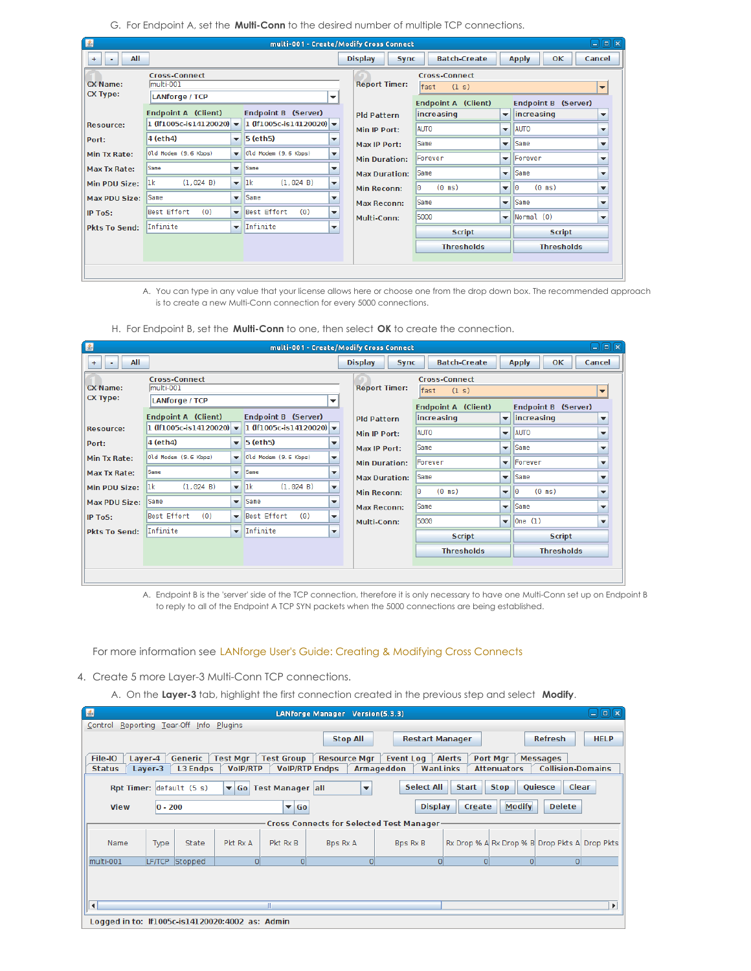G. For Endpoint A, set the **Multi-Conn** to the desired number of multiple TCP connections.

| $\mathbf{E}$         |                                      |                          | multi-001 - Create/Modify Cross Connect          |                               |                            |                          |                           | $\Box$ la ixi            |
|----------------------|--------------------------------------|--------------------------|--------------------------------------------------|-------------------------------|----------------------------|--------------------------|---------------------------|--------------------------|
| All<br>$+$<br>۰      |                                      |                          |                                                  | <b>Display</b><br><b>Sync</b> | <b>Batch-Create</b>        |                          | <b>OK</b><br><b>Apply</b> | Cancel                   |
|                      | <b>Cross-Connect</b>                 |                          |                                                  |                               | <b>Cross-Connect</b>       |                          |                           |                          |
| <b>CX Name:</b>      | multi-001                            |                          |                                                  | <b>Report Timer:</b>          | fast<br>(1 s)              |                          |                           | $\overline{\phantom{a}}$ |
| <b>CX Type:</b>      | <b>LANforge / TCP</b>                |                          | ▼                                                |                               | <b>Endpoint A (Client)</b> |                          | Endpoint B (Server)       |                          |
|                      | <b>Endpoint A (Client)</b>           |                          | Endpoint B (Server)                              | <b>Pld Pattern</b>            | increasing                 | $\mathbf{v}$             | lincreasing               | $\overline{\phantom{a}}$ |
| <b>Resource:</b>     | 1 (If1005c-is14120020) $\rightarrow$ |                          | 1 (If1005c-is14120020) $\rightarrow$             | Min IP Port:                  | <b>AUTO</b>                | ▼                        | <b>AUTO</b>               | $\overline{\phantom{a}}$ |
| Port:                | 4 (eth4)                             | ▼                        | 5 (eth5)<br>▼                                    | Max IP Port:                  | Same                       | $\overline{\phantom{a}}$ | Same                      | $\overline{\phantom{a}}$ |
| Min Tx Rate:         | Old Modem (9.6 Kbps)                 | $\overline{\phantom{a}}$ | Old Modem (9.6 Kbps)<br>$\overline{\phantom{a}}$ | <b>Min Duration:</b>          | Forever                    | $\overline{\phantom{a}}$ | <b>Forever</b>            | $\overline{\phantom{a}}$ |
| Max Tx Rate:         | Same                                 | $\overline{\phantom{0}}$ | Same<br>$\overline{\phantom{a}}$                 | <b>Max Duration:</b>          | <b>Same</b>                | $\overline{\phantom{a}}$ | Same                      | $\overline{\phantom{a}}$ |
| Min PDU Size:        | 1k <br>(1.024 B)                     | $\overline{\phantom{a}}$ | lık.<br>(1,024 B)<br>$\overline{\phantom{a}}$    | <b>Min Reconn:</b>            | $(0 \text{ ms})$<br>lΘ     | $\overline{\phantom{a}}$ | $(0 \text{ ms})$<br>ΙO    | $\overline{\phantom{a}}$ |
| <b>Max PDU Size:</b> | <b>Same</b>                          | $\overline{\phantom{a}}$ | Same<br>$\overline{\phantom{a}}$                 |                               |                            |                          |                           |                          |
| IP ToS:              | Best Effort<br>(0)                   | $\overline{\phantom{a}}$ | Best Effort<br>(0)<br>$\overline{\phantom{a}}$   | <b>Max Reconn:</b>            | Same                       | $\blacktriangledown$     | <b>Same</b>               | $\overline{\phantom{a}}$ |
|                      |                                      |                          |                                                  | Multi-Conn:                   | 5000                       | $\overline{\phantom{a}}$ | Normal (0)                | $\overline{\mathbf{v}}$  |
| <b>Pkts To Send:</b> | Infinite                             | $\overline{\phantom{a}}$ | Infinite<br>$\overline{\phantom{a}}$             |                               | <b>Script</b>              |                          | <b>Script</b>             |                          |
|                      |                                      |                          |                                                  |                               | <b>Thresholds</b>          |                          | <b>Thresholds</b>         |                          |
|                      |                                      |                          |                                                  |                               |                            |                          |                           |                          |
|                      |                                      |                          |                                                  |                               |                            |                          |                           |                          |

A. You can type in any value that your license allows here or choose one from the drop down box. The recommended approach is to create a new Multi-Conn connection for every 5000 connections.

| 圖                    |                                             |                          |                                             |                          | multi-001 - Create/Modify Cross Connect |                            |                                         |                           | 日间図                      |
|----------------------|---------------------------------------------|--------------------------|---------------------------------------------|--------------------------|-----------------------------------------|----------------------------|-----------------------------------------|---------------------------|--------------------------|
| All<br>$+$<br>۰      |                                             |                          |                                             |                          | <b>Display</b><br><b>Sync</b>           | <b>Batch-Create</b>        |                                         | <b>OK</b><br><b>Apply</b> | Cancel                   |
|                      | <b>Cross-Connect</b>                        |                          |                                             |                          |                                         | <b>Cross-Connect</b>       |                                         |                           |                          |
| <b>CX Name:</b>      | multi-001                                   |                          |                                             |                          | <b>Report Timer:</b>                    | (1 s)<br>fast              |                                         |                           | $\overline{\phantom{a}}$ |
| <b>CX Type:</b>      | <b>LANforge / TCP</b>                       |                          |                                             | ▼                        |                                         | <b>Endpoint A (Client)</b> |                                         | Endpoint B (Server)       |                          |
|                      | <b>Endpoint A (Client)</b>                  |                          | Endpoint B (Server)                         |                          | <b>Pld Pattern</b>                      | increasing                 | $\overline{\phantom{a}}$                | <i>increasing</i>         | $\overline{\phantom{a}}$ |
| <b>Resource:</b>     | 1 (If1005c-is14120020) $\blacktriangledown$ |                          | 1 (If1005c-is14120020) $\blacktriangledown$ |                          | Min IP Port:                            | <b>AUTO</b>                | <b>AUTO</b><br>$\overline{\phantom{a}}$ |                           | $\overline{\phantom{a}}$ |
| Port:                | 4 (eth4)                                    | $\overline{\phantom{a}}$ | $5$ (eth $5$ )                              | ▼                        | Max IP Port:                            | Same                       | $\overline{\mathbf{v}}$                 | <b>Same</b>               | $\overline{\mathbf{v}}$  |
| Min Tx Rate:         | Old Modem (9.6 Kbps)                        | $\overline{\phantom{a}}$ | Old Modem (9.6 Kbps)                        | $\overline{\phantom{a}}$ | <b>Min Duration:</b>                    | Forever                    | $\overline{\phantom{a}}$                | Forever                   | $\overline{\mathbf{v}}$  |
| <b>Max Tx Rate:</b>  | Same                                        | $\overline{\phantom{a}}$ | Same                                        | ▼                        | <b>Max Duration:</b>                    | Same                       | $\overline{\phantom{0}}$                | Same                      | $\overline{\phantom{a}}$ |
| <b>Min PDU Size:</b> | (1, 024 B)<br>lık                           | $\overline{\phantom{a}}$ | 1k <br>(1,024 B)                            | $\overline{\phantom{a}}$ | <b>Min Reconn:</b>                      | $(0 \text{ ms})$<br>IΘ     | $\overline{\mathbf{v}}$                 | $(0 \text{ ms})$<br>lΘ    | $\overline{\phantom{a}}$ |
| <b>Max PDU Size:</b> | Same                                        | $\overline{\phantom{a}}$ | Same                                        | ▼                        |                                         |                            |                                         |                           |                          |
| IP ToS:              | Best Effort<br>(0)                          | $\overline{\phantom{a}}$ | Best Effort<br>(0)                          | $\overline{\phantom{a}}$ | <b>Max Reconn:</b>                      | Same                       | $\overline{\phantom{a}}$                | Same                      | $\overline{\phantom{a}}$ |
|                      |                                             |                          |                                             |                          | Multi-Conn:                             | 5000                       | $\overline{\mathbf{v}}$                 | One(1)                    | $\overline{\phantom{a}}$ |
| <b>Pkts To Send:</b> | Infinite                                    | $\overline{\phantom{a}}$ | Infinite                                    | $\overline{\phantom{a}}$ |                                         | <b>Script</b>              |                                         | <b>Script</b>             |                          |
|                      |                                             |                          |                                             |                          |                                         | <b>Thresholds</b>          |                                         | <b>Thresholds</b>         |                          |
|                      |                                             |                          |                                             |                          |                                         |                            |                                         |                           |                          |
|                      |                                             |                          |                                             |                          |                                         |                            |                                         |                           |                          |

H. For Endpoint B, set the **Multi-Conn** to one, then select **OK** to create the connection.

A. Endpoint B is the 'server' side of the TCP connection, therefore it is only necessary to have one Multi-Conn set up on Endpoint B to reply to all of the Endpoint A TCP SYN packets when the 5000 connections are being established.

For more information see LANforge User's Guide: Creating & [Modifying](http://www.candelatech.com/lfgui_ug.php#cx_cr) Cross Connects

4. Create 5 more Layer-3 Multi-Conn TCP connections.

A. On the **Layer-3** tab, highlight the first connection created in the previous step and select **Modify**.

| 图                                       |                                 |                 |                                                 |                                              | LANforge Manager Version(5.3.3) |                                                 |                                               |                    |                          | $\Box$ e $\bm{x}$     |
|-----------------------------------------|---------------------------------|-----------------|-------------------------------------------------|----------------------------------------------|---------------------------------|-------------------------------------------------|-----------------------------------------------|--------------------|--------------------------|-----------------------|
| Control Reporting Tear-Off Info Plugins |                                 |                 |                                                 |                                              |                                 |                                                 |                                               |                    |                          |                       |
|                                         |                                 |                 |                                                 |                                              | <b>Stop All</b>                 | <b>Restart Manager</b>                          |                                               |                    | <b>Refresh</b>           | <b>HELP</b>           |
| File-IO                                 | Layer-4                         | Generic         | <b>Test Mgr</b>                                 | <b>Test Group</b>                            | <b>Resource Mgr</b>             | <b>Event Log</b>                                | Port Mgr<br><b>Alerts</b>                     |                    | <b>Messages</b>          |                       |
| <b>Status</b>                           | Layer-3                         | <b>L3 Endps</b> | <b>VoIP/RTP</b>                                 | <b>VolP/RTP Endps</b>                        |                                 | WanLinks<br>Armageddon                          |                                               | <b>Attenuators</b> | <b>Collision-Domains</b> |                       |
|                                         | <b>Rpt Timer:</b> default (5 s) |                 |                                                 | $\blacktriangledown$ Go   Test Manager   all | ▼                               | <b>Select All</b>                               | <b>Start</b>                                  | <b>Stop</b>        | Quiesce                  | Clear                 |
| <b>View</b>                             | $ 0 - 200 $                     |                 |                                                 | $\blacktriangledown$ Go                      |                                 | <b>Display</b>                                  | Create                                        | <b>Modify</b>      | <b>Delete</b>            |                       |
|                                         |                                 |                 |                                                 |                                              |                                 | <b>Cross Connects for Selected Test Manager</b> |                                               |                    |                          |                       |
| Name                                    | Type                            | State           | Pkt Rx A                                        | Pkt Rx B                                     | Bps Rx A                        | Bps Rx B                                        | Rx Drop % A Rx Drop % B Drop Pkts A Drop Pkts |                    |                          |                       |
| multi-001                               | LF/TCP                          | Stopped         | 0                                               | $\Omega$                                     | $\Omega$                        | 0                                               | 0                                             | 0                  | $\Omega$                 |                       |
| $\left  \cdot \right $                  |                                 |                 |                                                 |                                              |                                 |                                                 |                                               |                    |                          | $\blacktriangleright$ |
|                                         |                                 |                 | Logged in to: If1005c-is14120020:4002 as: Admin |                                              |                                 |                                                 |                                               |                    |                          |                       |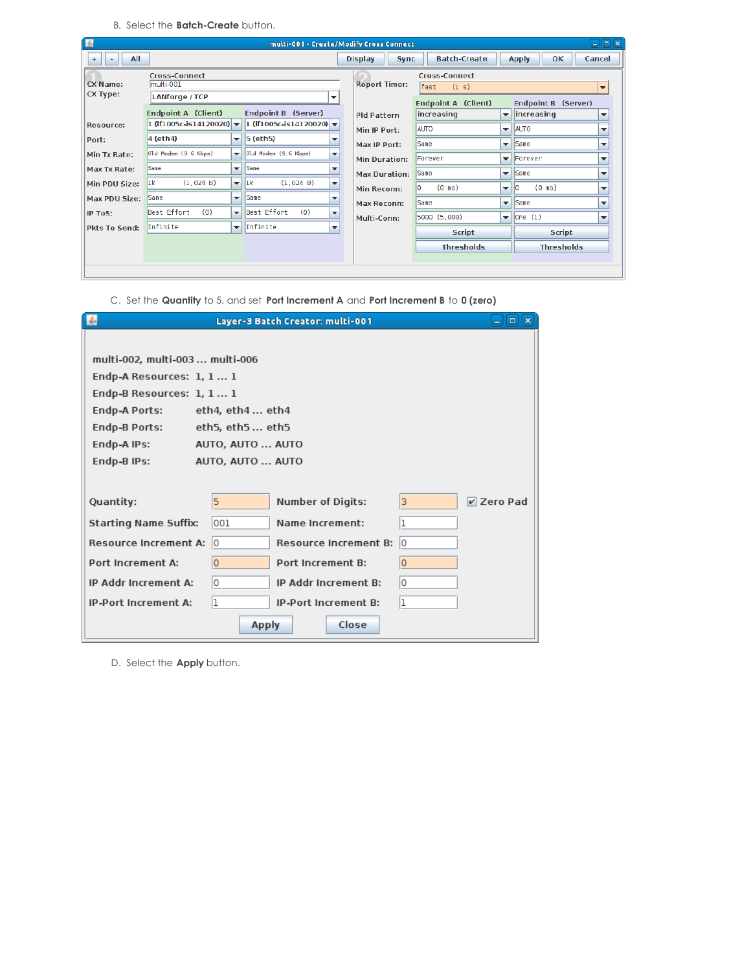B. Select the **Batch-Create** button.

| 圖                                  |                                             |                          |                                                     | multi-001 - Create/Modify Cross Connect |                        |                          | ÷                      | 同図                       |
|------------------------------------|---------------------------------------------|--------------------------|-----------------------------------------------------|-----------------------------------------|------------------------|--------------------------|------------------------|--------------------------|
| All<br>$+$<br>٠                    |                                             |                          |                                                     | <b>Display</b><br><b>Sync</b>           | <b>Batch-Create</b>    |                          | OК<br><b>Apply</b>     | Cancel                   |
|                                    | <b>Cross-Connect</b>                        |                          |                                                     |                                         | <b>Cross-Connect</b>   |                          |                        |                          |
| <b>CX Name:</b><br><b>CX Type:</b> | multi-001                                   |                          |                                                     | <b>Report Timer:</b>                    | fast<br>(1 s)          |                          |                        | $\overline{\phantom{a}}$ |
|                                    | <b>LANforge / TCP</b>                       |                          | $\overline{\phantom{a}}$                            |                                         | Endpoint A (Client)    |                          | Endpoint B (Server)    |                          |
|                                    | Endpoint A (Client)                         |                          | <b>Endpoint B (Server)</b>                          | <b>Pld Pattern</b>                      | increasing             | $\overline{\phantom{a}}$ | increasing             | $\overline{\phantom{a}}$ |
| <b>Resource:</b>                   | 1 (If1005c-is14120020) $\blacktriangledown$ |                          | 1 (If1005c-is14120020) $\blacktriangledown$         | Min IP Port:                            | <b>AUTO</b>            | $\overline{\phantom{a}}$ | <b>AUTO</b>            | $\overline{\phantom{a}}$ |
| Port:                              | 4 (eth4)                                    | ▼                        | $5$ (eth <sub>5</sub> )<br>$\overline{\phantom{a}}$ | Max IP Port:                            | Same                   | ▼                        | <i><b>Same</b></i>     | $\overline{\phantom{a}}$ |
| <b>Min Tx Rate:</b>                | Old Modem (9.6 Kbps)                        | $\overline{\phantom{a}}$ | Old Modem (9.6 Kbps)<br>$\overline{\phantom{a}}$    | <b>Min Duration:</b>                    | Forever                | $\overline{\phantom{a}}$ | Forever                | $\overline{\phantom{a}}$ |
| <b>Max Tx Rate:</b>                | Same                                        | $\overline{\phantom{a}}$ | <b>Same</b><br>$\overline{\phantom{a}}$             | <b>Max Duration:</b>                    | Same                   | $\overline{\phantom{a}}$ | Same                   | $\overline{\phantom{a}}$ |
| <b>Min PDU Size:</b>               | (1.024 B)<br>lık                            | $\mathbf{v}$             | ll1k<br>(1.024 B)<br>$\overline{\phantom{a}}$       | <b>Min Reconn:</b>                      | I٥<br>$(0 \text{ ms})$ | $\overline{\phantom{a}}$ | $(0 \text{ ms})$<br>10 | $\overline{\phantom{a}}$ |
| <b>Max PDU Size:</b>               | Same                                        | $\overline{\phantom{a}}$ | <b>Same</b><br>$\overline{\phantom{a}}$             | <b>Max Reconn:</b>                      | Same                   | $\overline{\phantom{a}}$ | <b>Same</b>            | $\overline{\phantom{a}}$ |
| IP ToS:                            | Best Effort<br>(0)                          | $\overline{\phantom{0}}$ | Best Effort<br>(0)<br>$\overline{\phantom{a}}$      | Multi-Conn:                             | 5000 (5,000)           | $\overline{\phantom{a}}$ | One(1)                 | $\overline{\phantom{a}}$ |
| <b>Pkts To Send:</b>               | <i>Infinite</i>                             | $\overline{\mathbf{v}}$  | Infinite<br>$\overline{\phantom{a}}$                |                                         | <b>Script</b>          |                          | <b>Script</b>          |                          |
|                                    |                                             |                          |                                                     |                                         | <b>Thresholds</b>      |                          | <b>Thresholds</b>      |                          |
|                                    |                                             |                          |                                                     |                                         |                        |                          |                        |                          |
|                                    |                                             |                          |                                                     |                                         |                        |                          |                        |                          |

|  |  |  |  | C. Set the Quantity to 5, and set Port Increment A and Port Increment B to 0 (zero) |  |  |  |  |  |
|--|--|--|--|-------------------------------------------------------------------------------------|--|--|--|--|--|
|--|--|--|--|-------------------------------------------------------------------------------------|--|--|--|--|--|

| 圖                |                                 |                   | Layer-3 Batch Creator: multi-001 |    | $\Box$ $\Box$ $\Box$ |
|------------------|---------------------------------|-------------------|----------------------------------|----|----------------------|
|                  |                                 |                   |                                  |    |                      |
|                  | multi-002, multi-003  multi-006 |                   |                                  |    |                      |
|                  | Endp-A Resources: 1, 1 1        |                   |                                  |    |                      |
|                  | Endp-B Resources: 1, 1 1        |                   |                                  |    |                      |
|                  | <b>Endp-A Ports:</b>            | eth4, $eth4$ eth4 |                                  |    |                      |
|                  | <b>Endp-B Ports:</b>            | eth5, eth5 eth5   |                                  |    |                      |
|                  | Endp-A IPs:                     | AUTO, AUTO  AUTO  |                                  |    |                      |
|                  | Endp-B IPs:                     | AUTO, AUTO  AUTO  |                                  |    |                      |
|                  |                                 |                   |                                  |    |                      |
| <b>Quantity:</b> |                                 | 5                 | <b>Number of Digits:</b>         | В. | <b>Zero Pad</b>      |
|                  | <b>Starting Name Suffix:</b>    | 001               | <b>Name Increment:</b>           | 1  |                      |
|                  | <b>Resource Increment A:</b>    | ١o                | <b>Resource Increment B:</b>     | ١o |                      |
|                  | <b>Port Increment A:</b>        | 10                | <b>Port Increment B:</b>         | 10 |                      |
|                  | <b>IP Addr Increment A:</b>     | ١o                | <b>IP Addr Increment B:</b>      | 10 |                      |
|                  | <b>IP-Port Increment A:</b>     | ı                 | <b>IP-Port Increment B:</b>      | ı  |                      |
|                  |                                 | <b>Apply</b>      | Close                            |    |                      |

D. Select the **Apply** button.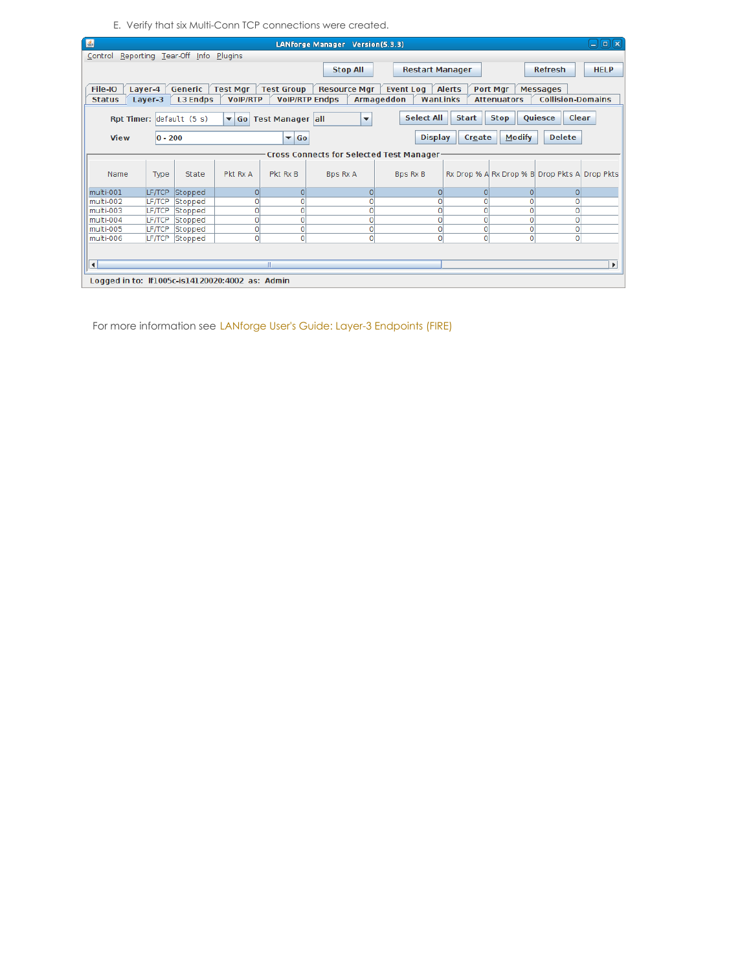E. Verify that six Multi-Conn TCP connections were created.

| 图                               |               |                          |                                                 |                         | LANforge Manager Version(5.3.3)          |                        |                             | fal<br>l se<br>اد                             |
|---------------------------------|---------------|--------------------------|-------------------------------------------------|-------------------------|------------------------------------------|------------------------|-----------------------------|-----------------------------------------------|
| Control Reporting Tear-Off Info |               |                          | Plugins                                         |                         |                                          |                        |                             |                                               |
|                                 |               |                          |                                                 |                         | <b>Stop All</b>                          | <b>Restart Manager</b> |                             | <b>Refresh</b><br><b>HELP</b>                 |
|                                 |               |                          |                                                 |                         |                                          |                        |                             |                                               |
| File-IO                         | Layer-4       | Generic                  | <b>Test Mgr</b>                                 | <b>Test Group</b>       | <b>Resource Mgr</b>                      | <b>Event Log</b>       | Port Mgr<br><b>Alerts</b>   | <b>Messages</b>                               |
| <b>Status</b>                   | Layer-3       | <b>L3 Endps</b>          | <b>VoIP/RTP</b>                                 | <b>VolP/RTP Endps</b>   |                                          | Armageddon<br>WanLinks | <b>Attenuators</b>          | <b>Collision-Domains</b>                      |
|                                 |               | Rpt Timer: default (5 s) |                                                 | ▼ Go Test Manager all   | $\overline{\phantom{a}}$                 | <b>Select All</b>      | <b>Start</b><br><b>Stop</b> | Clear<br>Quiesce                              |
| <b>View</b>                     | $ 0 - 200$    |                          |                                                 | $\blacktriangledown$ Go |                                          | <b>Display</b>         | Create                      | <b>Modify</b><br><b>Delete</b>                |
|                                 |               |                          |                                                 |                         | Cross Connects for Selected Test Manager |                        |                             |                                               |
| Name                            | Type          | State                    | Pkt Rx A                                        | Pkt Rx B                | Bps Rx A                                 | Bps Rx B               |                             | Rx Drop % A Rx Drop % B Drop Pkts A Drop Pkts |
| multi-001                       | LF/TCP        | Stopped                  | $\overline{0}$                                  | $\Omega$                | $\Omega$                                 | $\overline{0}$         | $\Omega$                    | $\Omega$<br>0                                 |
| multi-002                       | LF/TCP        | Stopped                  | 0                                               | 0                       | O                                        | 0                      | O                           | 0<br>$\Omega$                                 |
| multi-003                       | <b>LF/TCP</b> | Stopped                  | $\Omega$                                        | ol                      | 0                                        | $\Omega$               | 0                           | $\Omega$<br>$\Omega$                          |
| multi-004                       | LF/TCP        | Stopped                  | $\overline{0}$                                  | $\mathbf{0}$            | 0                                        | $\circ$                | 0                           | $\mathbf{O}$<br>0                             |
| multi-005                       | <b>LF/TCP</b> | Stopped                  | $\overline{0}$                                  | o                       | $\mathbf{O}$                             | $\circ$                | 0                           | 0<br>0                                        |
| multi-006                       | <b>LF/TCP</b> | Stopped                  | $\Omega$                                        | o                       | 0                                        | $\circ$                | $\Omega$                    | $\overline{0}$<br>$\mathbf{0}$                |
| $\left  \cdot \right $          |               |                          |                                                 | Ш                       |                                          |                        |                             | $\blacktriangleright$                         |
|                                 |               |                          | Logged in to: If1005c-is14120020:4002 as: Admin |                         |                                          |                        |                             |                                               |

For more information see LANforge User's Guide: Layer-3 [Endpoints](http://www.candelatech.com/lfgui_ug.php#endp) (FIRE)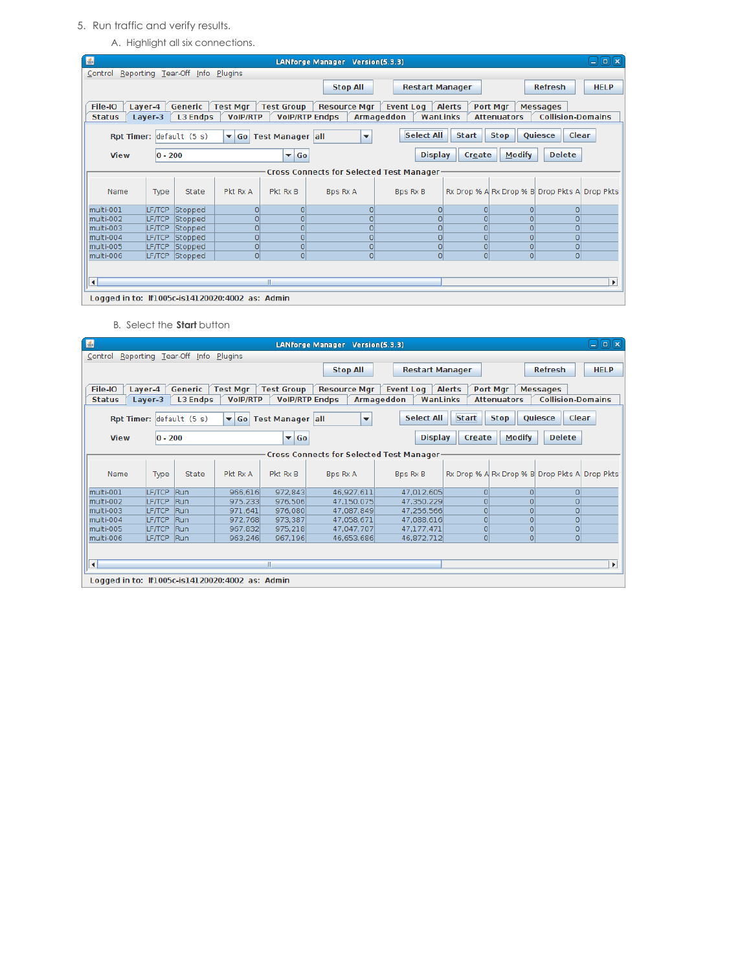## 5. Run traffic and verify results.

A. Highlight all six connections.

| $\vert \underline{\mathscr{L}} \vert$           |                |                                 |                 |                         | LANforge Manager Version(5.3.3)          |                        |                             | $\Box$ $\Box$ $\Box$                          |
|-------------------------------------------------|----------------|---------------------------------|-----------------|-------------------------|------------------------------------------|------------------------|-----------------------------|-----------------------------------------------|
| Control Reporting Tear-Off Info Plugins         |                |                                 |                 |                         |                                          |                        |                             |                                               |
|                                                 |                |                                 |                 |                         | <b>Stop All</b>                          | <b>Restart Manager</b> |                             | <b>Refresh</b><br><b>HELP</b>                 |
|                                                 |                |                                 |                 |                         |                                          |                        |                             |                                               |
| File-IO                                         | Layer-4        | Generic                         | <b>Test Mgr</b> | <b>Test Group</b>       | <b>Resource Mgr</b>                      | <b>Event Log</b>       | <b>Alerts</b><br>Port Mgr   | <b>Messages</b>                               |
| <b>Status</b>                                   | Layer-3        | <b>L3 Endps</b>                 | <b>VoIP/RTP</b> | <b>VolP/RTP Endps</b>   |                                          | Armageddon<br>WanLinks | <b>Attenuators</b>          | <b>Collision-Domains</b>                      |
|                                                 |                | <b>Rpt Timer:</b> default (5 s) |                 | ▼ Go Test Manager all   | $\overline{\phantom{a}}$                 | <b>Select All</b>      | <b>Start</b><br><b>Stop</b> | <b>Quiesce</b><br>Clear                       |
| <b>View</b>                                     | $ 0 - 200$     |                                 |                 | $\blacktriangledown$ Go |                                          | <b>Display</b>         | Create                      | <b>Modify</b><br><b>Delete</b>                |
|                                                 |                |                                 |                 |                         | Cross Connects for Selected Test Manager |                        |                             |                                               |
| Name                                            | Type           | State                           | Pkt Rx A        | Pkt Rx B                | <b>Bps Rx A</b>                          | Bps Rx B               |                             | Rx Drop % A Rx Drop % B Drop Pkts A Drop Pkts |
| multi-001                                       | <b>LF/TCP</b>  | Stopped                         | $\Omega$        | $\Omega$                | O                                        | $\Omega$               | $\Omega$                    | $\Omega$<br>$\Omega$                          |
| multi-002                                       | <b>ILF/TCP</b> | Stopped                         | $\circ$         | $\Omega$                |                                          | $\Omega$               | $\Omega$                    | $\Omega$<br>$\Omega$                          |
| multi-003                                       | <b>LF/TCP</b>  | Stopped                         | $\Omega$        | $\Omega$                |                                          |                        | $\Omega$                    | $\Omega$<br>$\Omega$                          |
| multi-004                                       | <b>LF/TCP</b>  | Stopped                         | $\Omega$        | $\overline{0}$          |                                          |                        | $\Omega$                    | $\Omega$<br>$\Omega$                          |
| multi-005                                       | <b>LF/TCP</b>  | Stopped                         | $\overline{0}$  | $\Omega$                | $\Omega$                                 | $\circ$                | $\Omega$                    | $\overline{0}$<br>$\Omega$                    |
| multi-006                                       | <b>LF/TCP</b>  | Stopped                         | $\Omega$        | $\overline{0}$          | $\Omega$                                 | $\Omega$               | $\Omega$                    | $\Omega$<br>$\Omega$                          |
|                                                 |                |                                 |                 |                         |                                          |                        |                             |                                               |
| $\left  \cdot \right $                          |                |                                 |                 | Ш                       |                                          |                        |                             | Þ.                                            |
| Logged in to: If1005c-is14120020:4002 as: Admin |                |                                 |                 |                         |                                          |                        |                             |                                               |

B. Select the **Start** button

| $\left  \frac{d}{2} \right $                    |                    |                                 |                                    |                                            | LANforge Manager Version(5.3.3)                 |                                            |                |                                |                                               | $\Box$<br>е           |
|-------------------------------------------------|--------------------|---------------------------------|------------------------------------|--------------------------------------------|-------------------------------------------------|--------------------------------------------|----------------|--------------------------------|-----------------------------------------------|-----------------------|
| Control Reporting Tear-Off Info Plugins         |                    |                                 |                                    |                                            |                                                 |                                            |                |                                |                                               |                       |
|                                                 |                    |                                 |                                    |                                            | <b>Stop All</b>                                 | <b>Restart Manager</b>                     |                |                                | <b>Refresh</b>                                | <b>HELP</b>           |
| File-IO<br><b>Status</b>                        | Layer-4<br>Layer-3 | Generic<br><b>L3 Endps</b>      | <b>Test Mgr</b><br><b>VoIP/RTP</b> | <b>Test Group</b><br><b>VolP/RTP Endps</b> | <b>Resource Mgr</b>                             | <b>Event Log</b><br>WanLinks<br>Armageddon | <b>Alerts</b>  | Port Mgr<br><b>Attenuators</b> | <b>Messages</b><br><b>Collision-Domains</b>   |                       |
|                                                 |                    |                                 |                                    |                                            |                                                 |                                            |                |                                |                                               |                       |
|                                                 |                    | <b>Rpt Timer:</b> default (5 s) | $\blacktriangledown$               | <b>Go Test Manager all</b>                 | ▼                                               | Select All                                 | <b>Start</b>   | <b>Stop</b>                    | <b>Oujesce</b><br>Clear                       |                       |
| <b>View</b>                                     | $ 0 - 200$         |                                 |                                    | $\blacktriangledown$ Go                    |                                                 | <b>Display</b>                             | Create         | <b>Modify</b>                  | <b>Delete</b>                                 |                       |
|                                                 |                    |                                 |                                    |                                            | <b>Cross Connects for Selected Test Manager</b> |                                            |                |                                |                                               |                       |
| Name                                            | Type               | State                           | Pkt Rx A                           | Pkt Rx B                                   | <b>Bps Rx A</b>                                 | <b>Bps Rx B</b>                            |                |                                | Rx Drop % A Rx Drop % B Drop Pkts A Drop Pkts |                       |
| multi-001                                       | LF/TCP             | Run                             | 966,616                            | 972,843                                    | 46.927.611                                      | 47,012,605                                 | $\Omega$       | n                              | $\Omega$                                      |                       |
| multi-002                                       | LF/TCP             | Run                             | 975,233                            | 976,506                                    | 47,150,075                                      | 47,350,229                                 | $\Omega$       |                                | $\Omega$                                      |                       |
| multi-003                                       | <b>LF/TCP</b>      | Run                             | 971.641                            | 976,080                                    | 47.087.849                                      | 47.256.566                                 | $\Omega$       |                                | $\circ$                                       |                       |
| multi-004                                       | <b>LETTCP</b>      | Run                             | 972.768                            | 973.387                                    | 47.058.671                                      | 47.088.616                                 | $\Omega$       | $\Omega$                       | $\overline{0}$                                |                       |
| multi-005                                       | <b>LF/TCP</b>      | Run                             | 967.832                            | 975.218                                    | 47.047.707                                      | 47.177.471                                 | $\overline{0}$ | 0                              | $\overline{0}$                                |                       |
| multi-006                                       | LF/TCP             | Run                             | 963,246                            | 967.196                                    | 46,653,686                                      | 46,872,712                                 | $\Omega$       | $\Omega$                       | $\Omega$                                      |                       |
|                                                 |                    |                                 |                                    |                                            |                                                 |                                            |                |                                |                                               |                       |
| $\left  \cdot \right $                          |                    |                                 |                                    | III.                                       |                                                 |                                            |                |                                |                                               | $\blacktriangleright$ |
| Logged in to: If1005c-is14120020:4002 as: Admin |                    |                                 |                                    |                                            |                                                 |                                            |                |                                |                                               |                       |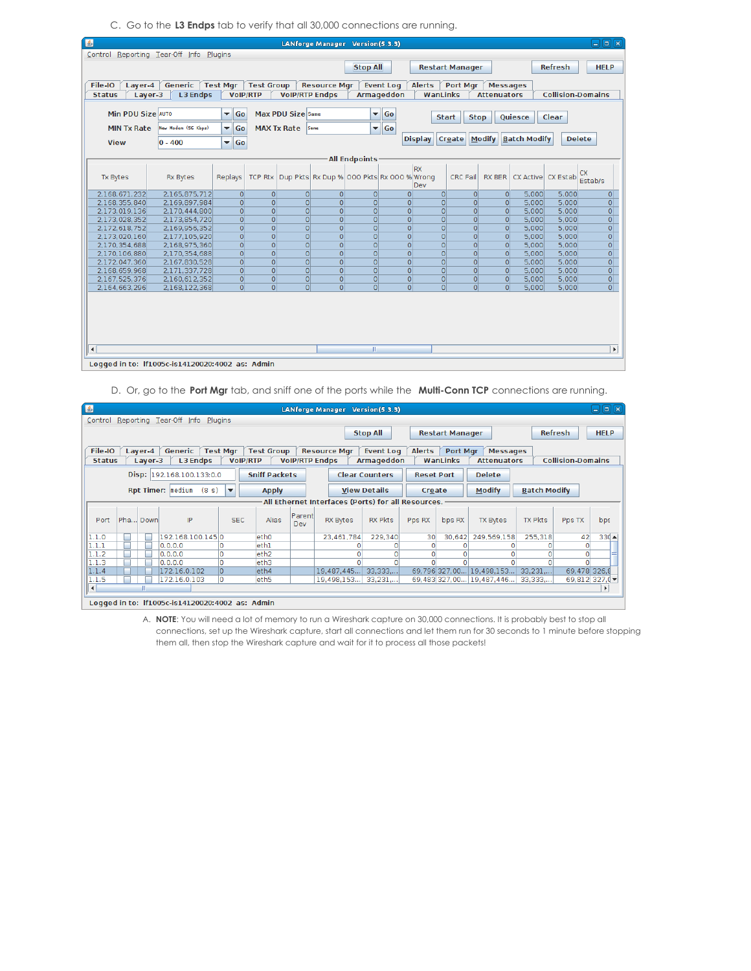C. Go to the **L3 Endps** tab to verify that all 30,000 connections are running.

| 国                      |                                                 |                                |                   |                       | LANforge Manager Version(5.3.3)           |                          |                   |                |                |                        |                    |                                |                    | $\Box$ eix               |
|------------------------|-------------------------------------------------|--------------------------------|-------------------|-----------------------|-------------------------------------------|--------------------------|-------------------|----------------|----------------|------------------------|--------------------|--------------------------------|--------------------|--------------------------|
|                        | Control Reporting Tear-Off Info Plugins         |                                |                   |                       |                                           |                          |                   |                |                |                        |                    |                                |                    |                          |
|                        |                                                 |                                |                   |                       |                                           | <b>Stop All</b>          |                   |                |                | <b>Restart Manager</b> |                    |                                | <b>Refresh</b>     | <b>HELP</b>              |
|                        |                                                 |                                |                   |                       |                                           |                          |                   |                |                |                        |                    |                                |                    |                          |
| File-IO<br>Laver-4     | Generic                                         | <b>Test Mar</b>                | <b>Test Group</b> |                       | <b>Resource Mgr</b>                       |                          | <b>Event Log</b>  | <b>Alerts</b>  |                | <b>Port Mar</b>        | <b>Messages</b>    |                                |                    |                          |
| <b>Status</b>          | <b>L3 Endps</b><br>Layer-3                      | <b>VoIP/RTP</b>                |                   | <b>VolP/RTP Endps</b> |                                           |                          | <b>Armageddon</b> |                |                | WanLinks               | <b>Attenuators</b> |                                |                    | <b>Collision-Domains</b> |
|                        |                                                 |                                |                   |                       |                                           |                          |                   |                |                |                        |                    |                                |                    |                          |
| Min PDU Size AUTO      |                                                 | Go<br>$\overline{\phantom{a}}$ |                   | Max PDU Size Same     |                                           | $\overline{\phantom{0}}$ | Go                |                | <b>Start</b>   | <b>Stop</b>            |                    | Quiesce                        | Clear              |                          |
| <b>MIN Tx Rate</b>     | New Modem (56 Kbps)                             | Go<br>▼∣                       |                   | <b>MAX Tx Rate</b>    | Same                                      | $\overline{\phantom{a}}$ | Go                |                |                |                        |                    |                                |                    |                          |
|                        |                                                 |                                |                   |                       |                                           |                          |                   |                |                |                        |                    | Create   Modify   Batch Modify |                    | <b>Delete</b>            |
| <b>View</b>            | $ 0 - 400$                                      | Go<br>$\blacktriangledown$     |                   |                       |                                           |                          |                   | <b>Display</b> |                |                        |                    |                                |                    |                          |
|                        |                                                 |                                |                   |                       |                                           |                          |                   |                |                |                        |                    |                                |                    |                          |
|                        |                                                 |                                |                   |                       |                                           | <b>All Endpoints</b>     |                   |                |                |                        |                    |                                |                    |                          |
|                        |                                                 |                                |                   |                       |                                           |                          |                   | <b>RX</b>      |                |                        |                    |                                |                    | <b>CX</b>                |
| <b>Tx Bytes</b>        | <b>Rx Bytes</b>                                 | Replays                        | <b>TCP Rtx</b>    |                       | Dup Pkts Rx Dup % 000 Pkts Rx 000 % Wrong |                          |                   | Dev            |                | CRC Fail               | RX BER             |                                | CX Active CX Estab | Estab/s                  |
| 2.168.671.232          | 2.165.875.712                                   | $\Omega$                       | $\overline{0}$    | $\Omega$              | $\Omega$                                  | $\Omega$                 |                   | $\Omega$       | $\Omega$       | $\Omega$               | 0                  | 5.000                          | 5.000              | $\overline{O}$           |
| 2,168,355,840          | 2.169.897.984                                   | $\overline{0}$                 | $\overline{0}$    | $\overline{0}$        | $\Omega$                                  | $\Omega$                 |                   | $\overline{0}$ | $\overline{0}$ | $\overline{0}$         | 0                  | 5.000                          | 5.000              | $\overline{0}$           |
| 2.173.019.136          | 2.170.444.800                                   | $\Omega$                       | $\overline{0}$    | $\overline{O}$        | $\overline{0}$                            | $\overline{0}$           |                   | $\overline{0}$ | $\overline{0}$ | $\overline{O}$         | 0                  | 5.000                          | 5.000              | $\overline{0}$           |
| 2,173,028,352          | 2,173,854,720                                   | $\overline{0}$                 | $\overline{0}$    | $\overline{0}$        | $\Omega$                                  | $\Omega$                 |                   | $\overline{0}$ | $\Omega$       | $\overline{0}$         | 0                  | 5.000                          | 5,000              | $\overline{O}$           |
| 2,172,618,752          | 2,169,956,352                                   | $\overline{0}$                 | $\Omega$          | $\overline{0}$        | $\overline{0}$                            | $\Omega$                 |                   | $\overline{0}$ | $\overline{0}$ | $\overline{0}$         | 0                  | 5,000                          | 5,000              | $\overline{0}$           |
| 2,173,020,160          | 2,177,105,920                                   | $\overline{0}$                 | $\overline{0}$    | $\Omega$              | $\overline{0}$                            | $\overline{0}$           |                   | $\overline{0}$ | $\overline{0}$ | $\overline{0}$         | 0                  | 5.000                          | 5.000              | $\overline{0}$           |
| 2,170,354,688          | 2,168,975,360                                   | 0                              | $\overline{0}$    | $\Omega$              | $\overline{0}$                            | $\overline{0}$           |                   | $\overline{0}$ | $\overline{0}$ | $\overline{0}$         | 0                  | 5,000                          | 5,000              | $\overline{0}$           |
| 2,170,106,880          | 2,170,354,688                                   | $\overline{0}$                 | $\Omega$          | $\Omega$              | $\Omega$                                  | $\overline{0}$           |                   | $\overline{0}$ | $\overline{0}$ | $\overline{0}$         | 0                  | 5.000                          | 5,000              | $\overline{O}$           |
| 2,172,047,360          | 2,167,830,528                                   | $\overline{0}$                 | $\Omega$          | $\overline{0}$        | $\overline{0}$                            | $\Omega$                 |                   | $\overline{0}$ | $\Omega$       | $\overline{0}$         | 0                  | 5.000                          | 5,000              | $\overline{0}$           |
| 2.168.659.968          | 2.171.337.728                                   | $\overline{0}$                 | $\overline{0}$    | $\Omega$              | $\Omega$                                  | $\Omega$                 |                   | $\Omega$       | $\Omega$       | $\Omega$               | 0                  | 5.000                          | 5.000              | $\mathsf{o}$             |
| 2,167,525,376          | 2,160,612,352                                   | 0                              | $\overline{0}$    | $\Omega$              | $\overline{0}$                            | $\Omega$                 |                   | $\overline{0}$ | $\overline{0}$ | $\circ$                | 0                  | 5.000                          | 5,000              | $\overline{0}$           |
| 2,164,663,296          | 2.168.122.368                                   | $\overline{0}$                 | $\overline{0}$    | $\overline{0}$        | $\overline{0}$                            | $\overline{0}$           |                   | $\overline{0}$ | $\Omega$       | $\overline{0}$         | $\Omega$           | 5,000                          | 5,000              | $\overline{0}$           |
|                        |                                                 |                                |                   |                       |                                           |                          |                   |                |                |                        |                    |                                |                    |                          |
|                        |                                                 |                                |                   |                       |                                           |                          |                   |                |                |                        |                    |                                |                    |                          |
|                        |                                                 |                                |                   |                       |                                           |                          |                   |                |                |                        |                    |                                |                    |                          |
|                        |                                                 |                                |                   |                       |                                           |                          |                   |                |                |                        |                    |                                |                    |                          |
|                        |                                                 |                                |                   |                       |                                           |                          |                   |                |                |                        |                    |                                |                    |                          |
|                        |                                                 |                                |                   |                       |                                           | $\mathbb{R}$             |                   |                |                |                        |                    |                                |                    |                          |
| $\left  \cdot \right $ |                                                 |                                |                   |                       |                                           |                          |                   |                |                |                        |                    |                                |                    | $\blacktriangleright$    |
|                        | Logged in to: If1005c-is14120020:4002 as: Admin |                                |                   |                       |                                           |                          |                   |                |                |                        |                    |                                |                    |                          |

D. Or, go to the **Port Mgr** tab, and sniff one of the ports while the **Multi-Conn TCP** connections are running.

| $\left  \frac{d}{2} \right $ |   |          |                                                 |                 |                          |                      |               | LANforge Manager Version(5.3.3)                    |                       |                   |                        |                          |                     |                                         | $\Box$ e $\bm{\kappa}$ |
|------------------------------|---|----------|-------------------------------------------------|-----------------|--------------------------|----------------------|---------------|----------------------------------------------------|-----------------------|-------------------|------------------------|--------------------------|---------------------|-----------------------------------------|------------------------|
|                              |   |          | Control Reporting Tear-Off Info Plugins         |                 |                          |                      |               |                                                    |                       |                   |                        |                          |                     |                                         |                        |
|                              |   |          |                                                 |                 |                          |                      |               |                                                    | <b>Stop All</b>       |                   | <b>Restart Manager</b> |                          | <b>Refresh</b>      |                                         | <b>HELP</b>            |
|                              |   |          |                                                 |                 |                          |                      |               |                                                    |                       |                   |                        |                          |                     |                                         |                        |
| File-IO                      |   | Laver-4  | Generic                                         | <b>Test Mar</b> |                          | <b>Test Group</b>    |               | <b>Resource Mar</b>                                | <b>Event Log</b>      | <b>Alerts</b>     | <b>Port Mar</b>        | <b>Messages</b>          |                     |                                         |                        |
| <b>Status</b>                |   | Layer-3  | <b>L3 Endps</b>                                 |                 | <b>VolP/RTP</b>          |                      |               | <b>VoIP/RTP Endps</b>                              | Armageddon            |                   | WanLinks               | <b>Attenuators</b>       |                     | <b>Collision-Domains</b>                |                        |
|                              |   |          | Disp: 192.168.100.133:0.0                       |                 |                          | <b>Sniff Packets</b> |               |                                                    | <b>Clear Counters</b> | <b>Reset Port</b> |                        | <b>Delete</b>            |                     |                                         |                        |
|                              |   |          | <b>Rpt Timer:</b> medium (8 s)                  |                 | $\overline{\phantom{a}}$ |                      |               |                                                    | <b>View Details</b>   | Create            |                        | <b>Modify</b>            | <b>Batch Modify</b> |                                         |                        |
|                              |   |          |                                                 |                 |                          | <b>Apply</b>         |               |                                                    |                       |                   |                        |                          |                     |                                         |                        |
|                              |   |          |                                                 |                 |                          |                      |               | All Ethernet Interfaces (Ports) for all Resources. |                       |                   |                        |                          |                     |                                         |                        |
| Port                         |   | Pha Down | IP                                              |                 | <b>SEC</b>               | Alias                | Parent<br>Dev | <b>RX Bytes</b>                                    | <b>RX Pkts</b>        | Pps RX            | bps RX                 | <b>TX Bytes</b>          | <b>TX Pkts</b>      | Pps TX                                  | bps                    |
| 1.1.0                        | п |          | 192.168.100.1450                                |                 |                          | eth <sub>0</sub>     |               | 23,461,784                                         | 229,340               | 30 <sup>1</sup>   | 30,642                 | 249,569,158              | 255,318             | 42                                      | $330 -$                |
| 1.1.1                        |   |          | 0.0.0.0                                         |                 |                          | eth1                 |               |                                                    |                       |                   |                        |                          |                     |                                         |                        |
| 1.1.2                        |   |          | 0.0.0.0                                         |                 |                          | eth <sub>2</sub>     |               |                                                    | 0                     | O                 | O                      |                          |                     |                                         |                        |
| 1.1.3                        |   |          | 0.0.0.0                                         |                 |                          | eth3                 |               |                                                    |                       |                   |                        |                          |                     |                                         |                        |
| 1.1.4                        |   |          | 172.16.0.102                                    |                 |                          | eth4                 |               | 19,487,445                                         | 33,333,               |                   | 69,796 327,00          | 19,498,153               | 33,231,             | 69,478 326,8                            |                        |
| 1.1.5                        |   |          | 172.16.0.103                                    | lo              |                          | eth <sub>5</sub>     |               | 19.498.153                                         | 33.231                |                   |                        | 69.483 327.00 19.487.446 | 33.333              | 69,812 327, $\left( \mathbf{v} \right)$ |                        |
| $\left  \cdot \right $       |   |          |                                                 |                 |                          |                      |               |                                                    |                       |                   |                        |                          |                     |                                         |                        |
|                              |   |          | Logged in to: If1005c-is14120020:4002 as: Admin |                 |                          |                      |               |                                                    |                       |                   |                        |                          |                     |                                         |                        |

A. **NOTE**: You will need a lot of memory to run a Wireshark capture on 30,000 connections. It is probably best to stop all connections, set up the Wireshark capture, start all connections and let them run for 30 seconds to 1 minute before stopping them all, then stop the Wireshark capture and wait for it to process all those packets!